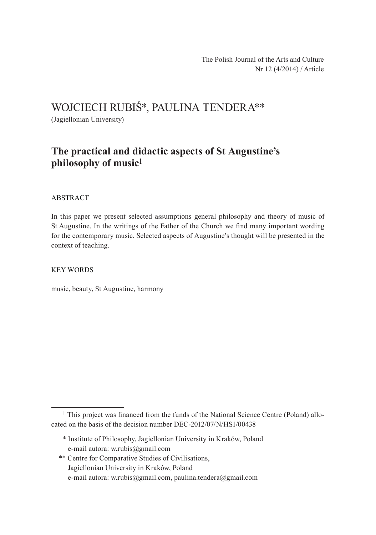# Wojciech Rubiś\*, Paulina Tendera\*\*

(Jagiellonian University)

## **The practical and didactic aspects of St Augustine's philosophy of music**1

#### ABSTRACT

In this paper we present selected assumptions general philosophy and theory of music of St Augustine. In the writings of the Father of the Church we find many important wording for the contemporary music. Selected aspects of Augustine's thought will be presented in the context of teaching.

#### Key words

music, beauty, St Augustine, harmony

- \* Institute of Philosophy, Jagiellonian University in Kraków, Poland e-mail autora: w.rubis@gmail.com
- \*\* Centre for Comparative Studies of Civilisations, Jagiellonian University in Kraków, Poland e‑mail autora: w.rubis@gmail.com, paulina.tendera@gmail.com

<sup>&</sup>lt;sup>1</sup> This project was financed from the funds of the National Science Centre (Poland) allocated on the basis of the decision number DEC‑2012/07/N/HS1/00438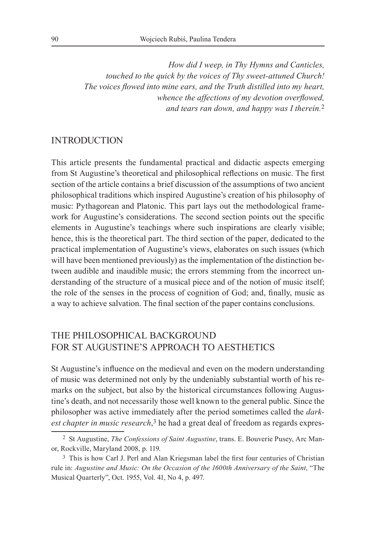*How did I weep, in Thy Hymns and Canticles, touched to the quick by the voices of Thy sweet‑attuned Church! The voices flowed into mine ears, and the Truth distilled into my heart, whence the affections of my devotion overflowed, and tears ran down, and happy was I therein.*2

### **INTRODUCTION**

This article presents the fundamental practical and didactic aspects emerging from St Augustine's theoretical and philosophical reflections on music. The first section of the article contains a brief discussion of the assumptions of two ancient philosophical traditions which inspired Augustine's creation of his philosophy of music: Pythagorean and Platonic. This part lays out the methodological framework for Augustine's considerations. The second section points out the specific elements in Augustine's teachings where such inspirations are clearly visible; hence, this is the theoretical part. The third section of the paper, dedicated to the practical implementation of Augustine's views, elaborates on such issues (which will have been mentioned previously) as the implementation of the distinction between audible and inaudible music; the errors stemming from the incorrect understanding of the structure of a musical piece and of the notion of music itself; the role of the senses in the process of cognition of God; and, finally, music as a way to achieve salvation. The final section of the paper contains conclusions.

### The philosophical background for St Augustine's approach to aesthetics

St Augustine's influence on the medieval and even on the modern understanding of music was determined not only by the undeniably substantial worth of his remarks on the subject, but also by the historical circumstances following Augustine's death, and not necessarily those well known to the general public. Since the philosopher was active immediately after the period sometimes called the *dark‑ est chapter in music research*, 3 he had a great deal of freedom as regards expres-

<sup>2</sup> St Augustine, *The Confessions of Saint Augustine*, trans. E. Bouverie Pusey, Arc Manor, Rockville, Maryland 2008, p. 119.

<sup>3</sup> This is how Carl J. Perl and Alan Kriegsman label the first four centuries of Christian rule in: *Augustine and Music: On the Occasion of the 1600th Anniversary of the Saint*, "The Musical Quarterly", Oct. 1955, Vol. 41, No 4, p. 497.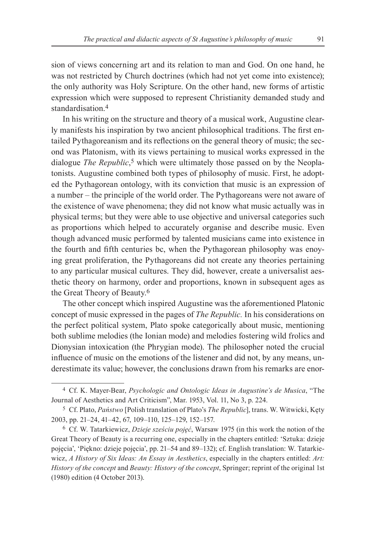sion of views concerning art and its relation to man and God. On one hand, he was not restricted by Church doctrines (which had not yet come into existence); the only authority was Holy Scripture. On the other hand, new forms of artistic expression which were supposed to represent Christianity demanded study and standardisation.4

In his writing on the structure and theory of a musical work, Augustine clearly manifests his inspiration by two ancient philosophical traditions. The first entailed Pythagoreanism and its reflections on the general theory of music; the second was Platonism, with its views pertaining to musical works expressed in the dialogue *The Republic*, 5 which were ultimately those passed on by the Neoplatonists. Augustine combined both types of philosophy of music. First, he adopted the Pythagorean ontology, with its conviction that music is an expression of a number – the principle of the world order. The Pythagoreans were not aware of the existence of wave phenomena; they did not know what music actually was in physical terms; but they were able to use objective and universal categories such as proportions which helped to accurately organise and describe music. Even though advanced music performed by talented musicians came into existence in the fourth and fifth centuries bc, when the Pythagorean philosophy was enoying great proliferation, the Pythagoreans did not create any theories pertaining to any particular musical cultures. They did, however, create a universalist aesthetic theory on harmony, order and proportions, known in subsequent ages as the Great Theory of Beauty.6

The other concept which inspired Augustine was the aforementioned Platonic concept of music expressed in the pages of *The Republic.* In his considerations on the perfect political system, Plato spoke categorically about music, mentioning both sublime melodies (the Ionian mode) and melodies fostering wild frolics and Dionysian intoxication (the Phrygian mode). The philosopher noted the crucial influence of music on the emotions of the listener and did not, by any means, underestimate its value; however, the conclusions drawn from his remarks are enor-

<sup>4</sup> Cf. K. Mayer‑Bear, *Psychologic and Ontologic Ideas in Augustine's de Musica*, "The Journal of Aesthetics and Art Criticism", Mar. 1953, Vol. 11, No 3, p. 224.

<sup>5</sup> Cf. Plato, *Państwo* [Polish translation of Plato's *The Republic*], trans. W. Witwicki, Kęty 2003, pp. 21-24, 41-42, 67, 109-110, 125-129, 152-157.

<sup>6</sup> Cf. W. Tatarkiewicz, *Dzieje sześciu pojęć*, Warsaw 1975 (in this work the notion of the Great Theory of Beauty is a recurring one, especially in the chapters entitled: 'Sztuka: dzieje pojęcia', 'Piękno: dzieje pojęcia', pp. 21–54 and 89–132); cf. English translation: W. Tatarkiewicz, *A History of Six Ideas: An Essay in Aesthetics*, especially in the chapters entitled: *Art: History of the concept* and *Beauty: History of the concept*, Springer; reprint of the original 1st (1980) edition (4 October 2013).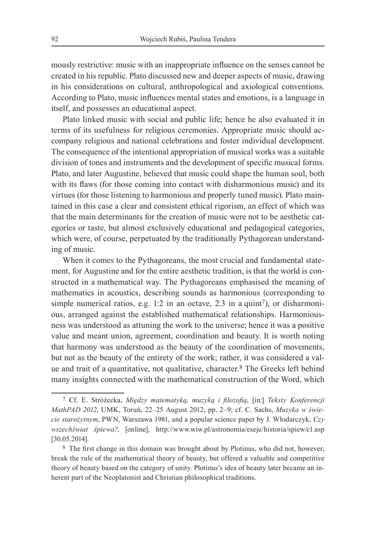mously restrictive: music with an inappropriate influence on the senses cannot be created in his republic. Plato discussed new and deeper aspects of music, drawing in his considerations on cultural, anthropological and axiological conventions. According to Plato, music influences mental states and emotions, is a language in itself, and possesses an educational aspect.

Plato linked music with social and public life; hence he also evaluated it in terms of its usefulness for religious ceremonies. Appropriate music should accompany religious and national celebrations and foster individual development. The consequence of the intentional appropriation of musical works was a suitable division of tones and instruments and the development of specific musical forms. Plato, and later Augustine, believed that music could shape the human soul, both with its flaws (for those coming into contact with disharmonious music) and its virtues (for those listening to harmonious and properly tuned music). Plato maintained in this case a clear and consistent ethical rigorism, an effect of which was that the main determinants for the creation of music were not to be aesthetic categories or taste, but almost exclusively educational and pedagogical categories, which were, of course, perpetuated by the traditionally Pythagorean understanding of music.

When it comes to the Pythagoreans, the most crucial and fundamental statement, for Augustine and for the entire aesthetic tradition, is that the world is constructed in a mathematical way. The Pythagoreans emphasised the meaning of mathematics in acoustics, describing sounds as harmonious (corresponding to simple numerical ratios, e.g. 1:2 in an octave, 2:3 in a quint<sup>7</sup>), or disharmonious, arranged against the established mathematical relationships. Harmoniousness was understood as attuning the work to the universe; hence it was a positive value and meant union, agreement, coordination and beauty. It is worth noting that harmony was understood as the beauty of the coordination of movements, but not as the beauty of the entirety of the work; rather, it was considered a value and trait of a quantitative, not qualitative, character.8 The Greeks left behind many insights connected with the mathematical construction of the Word, which

<sup>7</sup> Cf. E. Stróżecka, *Między matematyką, muzyką i filozofią*, [in:] *Teksty Konferencji MathPAD 2012*, UMK, Toruń, 22‒25 August 2012, pp. 2‒9; cf. C. Sachs, *Muzyka w świe‑ cie starożytnym*, PWN, Warszawa 1981, and a popular science paper by J. Włodarczyk, *Czy wszechświat śpiewa?*, [online], http://www.wiw.pl/astronomia/eseje/historia/spiew/c1.asp [30.05.2014].

<sup>8</sup> The first change in this domain was brought about by Plotinus, who did not, however, break the rule of the mathematical theory of beauty, but offered a valuable and competitive theory of beauty based on the category of unity. Plotinus's idea of beauty later became an inherent part of the Neoplatonist and Christian philosophical traditions.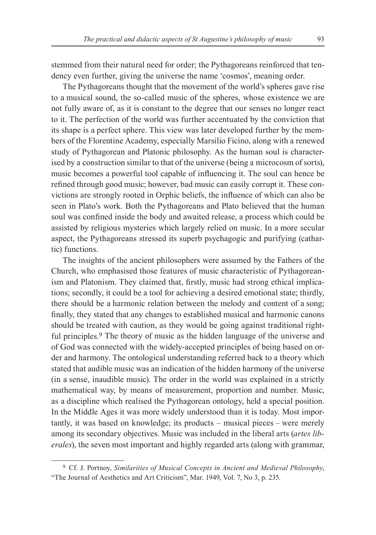stemmed from their natural need for order; the Pythagoreans reinforced that tendency even further, giving the universe the name 'cosmos', meaning order.

The Pythagoreans thought that the movement of the world's spheres gave rise to a musical sound, the so-called music of the spheres, whose existence we are not fully aware of, as it is constant to the degree that our senses no longer react to it. The perfection of the world was further accentuated by the conviction that its shape is a perfect sphere. This view was later developed further by the members of the Florentine Academy, especially Marsilio Ficino, along with a renewed study of Pythagorean and Platonic philosophy. As the human soul is characterised by a construction similar to that of the universe (being a microcosm of sorts), music becomes a powerful tool capable of influencing it. The soul can hence be refined through good music; however, bad music can easily corrupt it. These convictions are strongly rooted in Orphic beliefs, the influence of which can also be seen in Plato's work. Both the Pythagoreans and Plato believed that the human soul was confined inside the body and awaited release, a process which could be assisted by religious mysteries which largely relied on music. In a more secular aspect, the Pythagoreans stressed its superb psychagogic and purifying (cathartic) functions.

The insights of the ancient philosophers were assumed by the Fathers of the Church, who emphasised those features of music characteristic of Pythagoreanism and Platonism. They claimed that, firstly, music had strong ethical implications; secondly, it could be a tool for achieving a desired emotional state; thirdly, there should be a harmonic relation between the melody and content of a song; finally, they stated that any changes to established musical and harmonic canons should be treated with caution, as they would be going against traditional rightful principles.<sup>9</sup> The theory of music as the hidden language of the universe and of God was connected with the widely‑accepted principles of being based on order and harmony. The ontological understanding referred back to a theory which stated that audible music was an indication of the hidden harmony of the universe (in a sense, inaudible music). The order in the world was explained in a strictly mathematical way, by means of measurement, proportion and number. Music, as a discipline which realised the Pythagorean ontology, held a special position. In the Middle Ages it was more widely understood than it is today. Most importantly, it was based on knowledge; its products – musical pieces – were merely among its secondary objectives. Music was included in the liberal arts (*artes lib‑ erales*), the seven most important and highly regarded arts (along with grammar,

<sup>9</sup> Cf. J. Portnoy, *Similarities of Musical Concepts in Ancient and Medieval Philosophy*, "The Journal of Aesthetics and Art Criticism", Mar. 1949, Vol. 7, No 3, p. 235.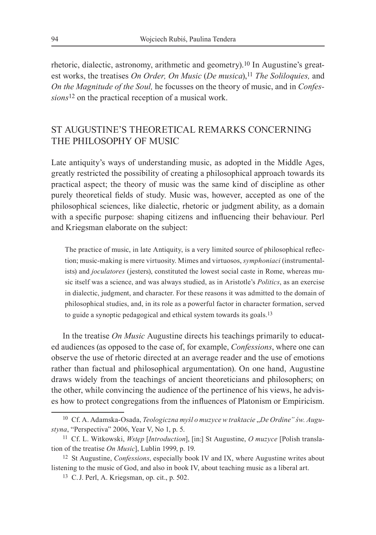rhetoric, dialectic, astronomy, arithmetic and geometry).10 In Augustine's greatest works, the treatises *On Order, On Music (De musica*),<sup>11</sup> *The Soliloquies*, and *On the Magnitude of the Soul,* he focusses on the theory of music, and in *Confes‑ sions*12 on the practical reception of a musical work.

### St Augustine's theoretical remarks concerning the philosophy of music

Late antiquity's ways of understanding music, as adopted in the Middle Ages, greatly restricted the possibility of creating a philosophical approach towards its practical aspect; the theory of music was the same kind of discipline as other purely theoretical fields of study. Music was, however, accepted as one of the philosophical sciences, like dialectic, rhetoric or judgment ability, as a domain with a specific purpose: shaping citizens and influencing their behaviour. Perl and Kriegsman elaborate on the subject:

The practice of music, in late Antiquity, is a very limited source of philosophical reflection; music‑making is mere virtuosity. Mimes and virtuosos, *symphoniaci* (instrumentalists) and *joculatores* (jesters), constituted the lowest social caste in Rome, whereas music itself was a science, and was always studied, as in Aristotle's *Politics*, as an exercise in dialectic, judgment, and character. For these reasons it was admitted to the domain of philosophical studies, and, in its role as a powerful factor in character formation, served to guide a synoptic pedagogical and ethical system towards its goals.13

In the treatise *On Music* Augustine directs his teachings primarily to educated audiences (as opposed to the case of, for example, *Confessions*, where one can observe the use of rhetoric directed at an average reader and the use of emotions rather than factual and philosophical argumentation). On one hand, Augustine draws widely from the teachings of ancient theoreticians and philosophers; on the other, while convincing the audience of the pertinence of his views, he advises how to protect congregations from the influences of Platonism or Empiricism.

<sup>&</sup>lt;sup>10</sup> Cf. A. Adamska-Osada, *Teologiczna myśl o muzyce w traktacie* "De Ordine" św. Augu*styna*, "Perspectiva" 2006, Year V, No 1, p. 5.

<sup>11</sup> Cf. L. Witkowski, *Wstęp* [*Introduction*], [in:] St Augustine, *O muzyce* [Polish translation of the treatise *On Music*], Lublin 1999, p. 19.

<sup>12</sup> St Augustine, *Confessions*, especially book IV and IX, where Augustine writes about listening to the music of God, and also in book IV, about teaching music as a liberal art.

<sup>13</sup> C.J. Perl, A. Kriegsman, op. cit., p. 502.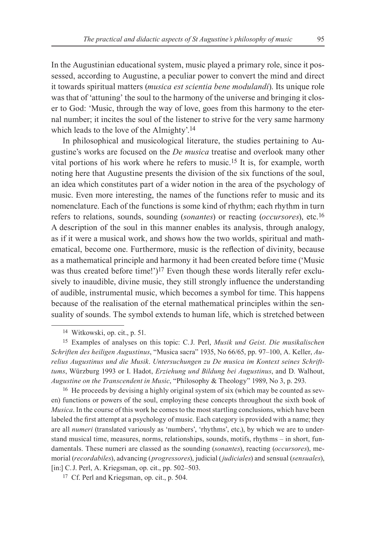In the Augustinian educational system, music played a primary role, since it possessed, according to Augustine, a peculiar power to convert the mind and direct it towards spiritual matters (*musica est scientia bene modulandi*). Its unique role was that of 'attuning' the soul to the harmony of the universe and bringing it closer to God: 'Music, through the way of love, goes from this harmony to the eternal number; it incites the soul of the listener to strive for the very same harmony which leads to the love of the Almighty'.<sup>14</sup>

In philosophical and musicological literature, the studies pertaining to Augustine's works are focused on the *De musica* treatise and overlook many other vital portions of his work where he refers to music.15 It is, for example, worth noting here that Augustine presents the division of the six functions of the soul, an idea which constitutes part of a wider notion in the area of the psychology of music. Even more interesting, the names of the functions refer to music and its nomenclature. Each of the functions is some kind of rhythm; each rhythm in turn refers to relations, sounds, sounding (*sonantes*) or reacting (*occursores*), etc.16 A description of the soul in this manner enables its analysis, through analogy, as if it were a musical work, and shows how the two worlds, spiritual and mathematical, become one. Furthermore, music is the reflection of divinity, because as a mathematical principle and harmony it had been created before time ('Music was thus created before time!')<sup>17</sup> Even though these words literally refer exclusively to inaudible, divine music, they still strongly influence the understanding of audible, instrumental music, which becomes a symbol for time. This happens because of the realisation of the eternal mathematical principles within the sensuality of sounds. The symbol extends to human life, which is stretched between

<sup>16</sup> He proceeds by devising a highly original system of six (which may be counted as seven) functions or powers of the soul, employing these concepts throughout the sixth book of *Musica*. In the course of this work he comes to the most startling conclusions, which have been labeled the first attempt at a psychology of music. Each category is provided with a name; they are all *numeri* (translated variously as 'numbers', 'rhythms', etc.), by which we are to understand musical time, measures, norms, relationships, sounds, motifs, rhythms – in short, fundamentals. These numeri are classed as the sounding (*sonantes*), reacting (*occursores*), memorial (*recordabiles*), advancing (*progressores*), judicial (*judiciales*) and sensual (*sensuales*), [in:] C.J. Perl, A. Kriegsman, op. cit., pp. 502-503.

<sup>14</sup> Witkowski, op. cit., p. 51.

<sup>15</sup> Examples of analyses on this topic: C.J. Perl, *Musik und Geist*. *Die musikalischen Schriften des heiligen Augustinus*, "Musica sacra" 1935, No 66/65, pp. 97‒100, A. Keller, *Au‑ relius Augustinus und die Musik*. *Untersuchungen zu De musica im Kontext seines Schrift‑ tums*, Würzburg 1993 or I. Hadot, *Erziehung und Bildung bei Augustinus*, and D. Walhout, *Augustine on the Transcendent in Music*, "Philosophy & Theology" 1989, No 3, p. 293.

<sup>17</sup> Cf. Perl and Kriegsman, op. cit., p. 504.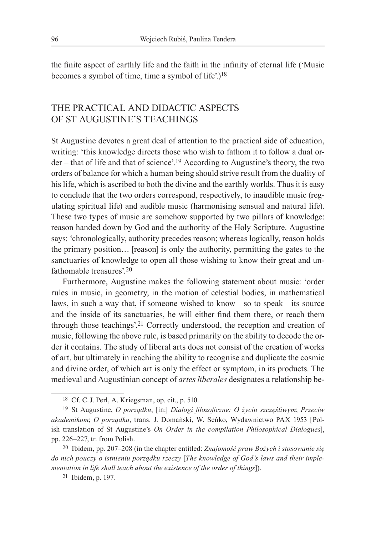the finite aspect of earthly life and the faith in the infinity of eternal life ('Music becomes a symbol of time, time a symbol of life'.)18

### The practical and didactic aspects of St Augustine's teachings

St Augustine devotes a great deal of attention to the practical side of education, writing: 'this knowledge directs those who wish to fathom it to follow a dual order – that of life and that of science'.19 According to Augustine's theory, the two orders of balance for which a human being should strive result from the duality of his life, which is ascribed to both the divine and the earthly worlds. Thus it is easy to conclude that the two orders correspond, respectively, to inaudible music (regulating spiritual life) and audible music (harmonising sensual and natural life). These two types of music are somehow supported by two pillars of knowledge: reason handed down by God and the authority of the Holy Scripture. Augustine says: 'chronologically, authority precedes reason; whereas logically, reason holds the primary position… [reason] is only the authority, permitting the gates to the sanctuaries of knowledge to open all those wishing to know their great and unfathomable treasures' 20

Furthermore, Augustine makes the following statement about music: 'order rules in music, in geometry, in the motion of celestial bodies, in mathematical laws, in such a way that, if someone wished to know – so to speak – its source and the inside of its sanctuaries, he will either find them there, or reach them through those teachings'.21 Correctly understood, the reception and creation of music, following the above rule, is based primarily on the ability to decode the order it contains. The study of liberal arts does not consist of the creation of works of art, but ultimately in reaching the ability to recognise and duplicate the cosmic and divine order, of which art is only the effect or symptom, in its products. The medieval and Augustinian concept of *artes liberales* designates a relationship be-

<sup>18</sup> Cf. C.J. Perl, A. Kriegsman, op. cit., p. 510.

<sup>19</sup> St Augustine, *O porządku*, [in:] *Dialogi filozoficzne: O życiu szczęśliwym*; *Przeciw akademikom*; *O porządku*, trans. J. Domański, W. Seńko, Wydawnictwo PAX 1953 [Polish translation of St Augustine's *On Order in the compilation Philosophical Dialogues*], pp. 226‒227, tr. from Polish.

<sup>20</sup> Ibidem, pp. 207‒208 (in the chapter entitled: *Znajomość praw Bożych i stosowanie się do nich pouczy o istnieniu porządku rzeczy* [*The knowledge of God's laws and their imple‑ mentation in life shall teach about the existence of the order of things*]).

<sup>21</sup> Ibidem, p. 197.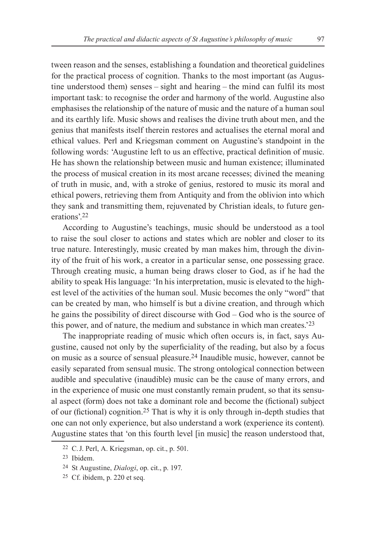tween reason and the senses, establishing a foundation and theoretical guidelines for the practical process of cognition. Thanks to the most important (as Augustine understood them) senses – sight and hearing – the mind can fulfil its most important task: to recognise the order and harmony of the world. Augustine also emphasises the relationship of the nature of music and the nature of a human soul and its earthly life. Music shows and realises the divine truth about men, and the genius that manifests itself therein restores and actualises the eternal moral and ethical values. Perl and Kriegsman comment on Augustine's standpoint in the following words: 'Augustine left to us an effective, practical definition of music. He has shown the relationship between music and human existence; illuminated the process of musical creation in its most arcane recesses; divined the meaning of truth in music, and, with a stroke of genius, restored to music its moral and ethical powers, retrieving them from Antiquity and from the oblivion into which they sank and transmitting them, rejuvenated by Christian ideals, to future generations'.22

According to Augustine's teachings, music should be understood as a tool to raise the soul closer to actions and states which are nobler and closer to its true nature. Interestingly, music created by man makes him, through the divinity of the fruit of his work, a creator in a particular sense, one possessing grace. Through creating music, a human being draws closer to God, as if he had the ability to speak His language: 'In his interpretation, music is elevated to the highest level of the activities of the human soul. Music becomes the only "word" that can be created by man, who himself is but a divine creation, and through which he gains the possibility of direct discourse with God – God who is the source of this power, and of nature, the medium and substance in which man creates.'23

The inappropriate reading of music which often occurs is, in fact, says Augustine, caused not only by the superficiality of the reading, but also by a focus on music as a source of sensual pleasure.24 Inaudible music, however, cannot be easily separated from sensual music. The strong ontological connection between audible and speculative (inaudible) music can be the cause of many errors, and in the experience of music one must constantly remain prudent, so that its sensual aspect (form) does not take a dominant role and become the (fictional) subject of our (fictional) cognition.25 That is why it is only through in-depth studies that one can not only experience, but also understand a work (experience its content). Augustine states that 'on this fourth level [in music] the reason understood that,

<sup>22</sup> C.J. Perl, A. Kriegsman, op. cit., p. 501.

<sup>23</sup> Ibidem.

<sup>24</sup> St Augustine, *Dialogi*, op. cit., p. 197.

<sup>25</sup> Cf. ibidem, p. 220 et seq.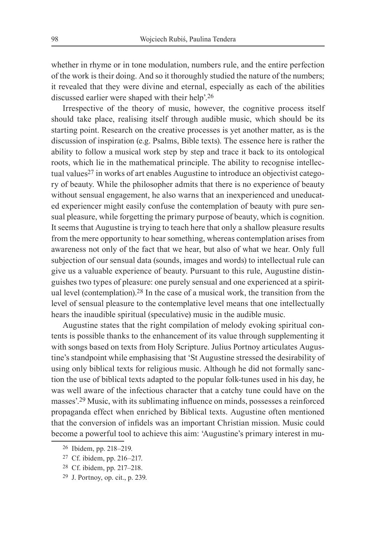whether in rhyme or in tone modulation, numbers rule, and the entire perfection of the work is their doing. And so it thoroughly studied the nature of the numbers; it revealed that they were divine and eternal, especially as each of the abilities discussed earlier were shaped with their help'.26

Irrespective of the theory of music, however, the cognitive process itself should take place, realising itself through audible music, which should be its starting point. Research on the creative processes is yet another matter, as is the discussion of inspiration (e.g. Psalms, Bible texts). The essence here is rather the ability to follow a musical work step by step and trace it back to its ontological roots, which lie in the mathematical principle. The ability to recognise intellectual values<sup>27</sup> in works of art enables Augustine to introduce an objectivist category of beauty. While the philosopher admits that there is no experience of beauty without sensual engagement, he also warns that an inexperienced and uneducated experiencer might easily confuse the contemplation of beauty with pure sensual pleasure, while forgetting the primary purpose of beauty, which is cognition. It seems that Augustine is trying to teach here that only a shallow pleasure results from the mere opportunity to hear something, whereas contemplation arises from awareness not only of the fact that we hear, but also of what we hear. Only full subjection of our sensual data (sounds, images and words) to intellectual rule can give us a valuable experience of beauty. Pursuant to this rule, Augustine distinguishes two types of pleasure: one purely sensual and one experienced at a spiritual level (contemplation).28 In the case of a musical work, the transition from the level of sensual pleasure to the contemplative level means that one intellectually hears the inaudible spiritual (speculative) music in the audible music.

Augustine states that the right compilation of melody evoking spiritual contents is possible thanks to the enhancement of its value through supplementing it with songs based on texts from Holy Scripture. Julius Portnoy articulates Augustine's standpoint while emphasising that 'St Augustine stressed the desirability of using only biblical texts for religious music. Although he did not formally sanction the use of biblical texts adapted to the popular folk‑tunes used in his day, he was well aware of the infectious character that a catchy tune could have on the masses'.29 Music, with its sublimating influence on minds, possesses a reinforced propaganda effect when enriched by Biblical texts. Augustine often mentioned that the conversion of infidels was an important Christian mission. Music could become a powerful tool to achieve this aim: 'Augustine's primary interest in mu-

<sup>&</sup>lt;sup>26</sup> Ibidem, pp. 218-219.

<sup>&</sup>lt;sup>27</sup> Cf. ibidem, pp. 216-217.

<sup>28</sup> Cf. ibidem, pp. 217‒218.

<sup>29</sup> J. Portnoy, op. cit., p. 239.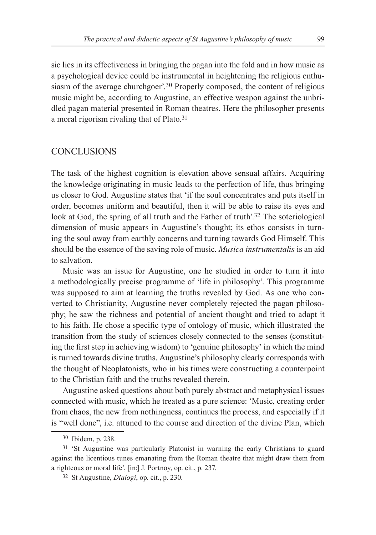sic lies in its effectiveness in bringing the pagan into the fold and in how music as a psychological device could be instrumental in heightening the religious enthusiasm of the average churchgoer'.<sup>30</sup> Properly composed, the content of religious music might be, according to Augustine, an effective weapon against the unbridled pagan material presented in Roman theatres. Here the philosopher presents a moral rigorism rivaling that of Plato.31

#### **CONCLUSIONS**

The task of the highest cognition is elevation above sensual affairs. Acquiring the knowledge originating in music leads to the perfection of life, thus bringing us closer to God. Augustine states that 'if the soul concentrates and puts itself in order, becomes uniform and beautiful, then it will be able to raise its eyes and look at God, the spring of all truth and the Father of truth'.<sup>32</sup> The soteriological dimension of music appears in Augustine's thought; its ethos consists in turning the soul away from earthly concerns and turning towards God Himself. This should be the essence of the saving role of music. *Musica instrumentalis* is an aid to salvation.

Music was an issue for Augustine, one he studied in order to turn it into a methodologically precise programme of 'life in philosophy'. This programme was supposed to aim at learning the truths revealed by God. As one who converted to Christianity, Augustine never completely rejected the pagan philosophy; he saw the richness and potential of ancient thought and tried to adapt it to his faith. He chose a specific type of ontology of music, which illustrated the transition from the study of sciences closely connected to the senses (constituting the first step in achieving wisdom) to 'genuine philosophy' in which the mind is turned towards divine truths. Augustine's philosophy clearly corresponds with the thought of Neoplatonists, who in his times were constructing a counterpoint to the Christian faith and the truths revealed therein.

Augustine asked questions about both purely abstract and metaphysical issues connected with music, which he treated as a pure science: 'Music, creating order from chaos, the new from nothingness, continues the process, and especially if it is "well done", i.e. attuned to the course and direction of the divine Plan, which

<sup>30</sup> Ibidem, p. 238.

<sup>31</sup> 'St Augustine was particularly Platonist in warning the early Christians to guard against the licentious tunes emanating from the Roman theatre that might draw them from a righteous or moral life', [in:] J. Portnoy, op. cit., p. 237.

<sup>32</sup> St Augustine, *Dialogi*, op. cit., p. 230.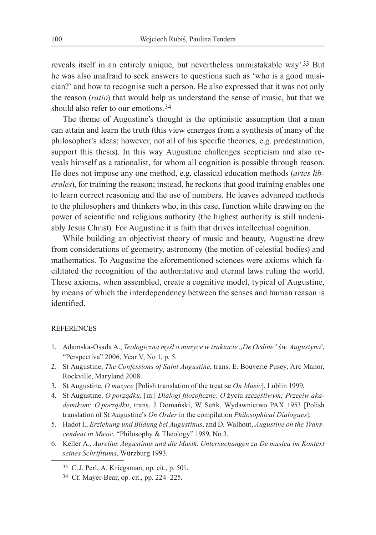reveals itself in an entirely unique, but nevertheless unmistakable way'.33 But he was also unafraid to seek answers to questions such as 'who is a good musician?' and how to recognise such a person. He also expressed that it was not only the reason (*ratio*) that would help us understand the sense of music, but that we should also refer to our emotions.<sup>34</sup>

The theme of Augustine's thought is the optimistic assumption that a man can attain and learn the truth (this view emerges from a synthesis of many of the philosopher's ideas; however, not all of his specific theories, e.g. predestination, support this thesis). In this way Augustine challenges scepticism and also reveals himself as a rationalist, for whom all cognition is possible through reason. He does not impose any one method, e.g. classical education methods (*artes lib‑ erales*), for training the reason; instead, he reckons that good training enables one to learn correct reasoning and the use of numbers. He leaves advanced methods to the philosophers and thinkers who, in this case, function while drawing on the power of scientific and religious authority (the highest authority is still undeniably Jesus Christ). For Augustine it is faith that drives intellectual cognition.

While building an objectivist theory of music and beauty, Augustine drew from considerations of geometry, astronomy (the motion of celestial bodies) and mathematics. To Augustine the aforementioned sciences were axioms which facilitated the recognition of the authoritative and eternal laws ruling the world. These axioms, when assembled, create a cognitive model, typical of Augustine, by means of which the interdependency between the senses and human reason is identified.

#### REFERENCES

- 1. Adamska-Osada A., *Teologiczna myśl o muzyce w traktacie* "*De Ordine" św. Augustyna*', "Perspectiva" 2006, Year V, No 1, p. 5.
- 2. St Augustine, *The Confessions of Saint Augustine*, trans. E. Bouverie Pusey, Arc Manor, Rockville, Maryland 2008.
- 3. St Augustine, *O muzyce* [Polish translation of the treatise *On Music*], Lublin 1999.
- 4. St Augustine, *O porządku*, [in:] *Dialogi filozoficzne: O* życiu *szczęśliwym; Przeciw aka‑ demikom; O porządku*, trans. J. Domański, W. Seńk, Wydawnictwo PAX 1953 [Polish translation of St Augustine's *On Order* in the compilation *Philosophical Dialogues*].
- 5. Hadot I., *Erziehung und Bildung bei Augustinus*, and D. Walhout, *Augustine on the Trans‑ cendent in Music*, "Philosophy & Theology" 1989, No 3.
- 6. Keller A., *Aurelius Augustinus und die Musik*. *Untersuchungen zu De musica im Kontext seines Schrifttums*, Würzburg 1993.

<sup>33</sup> C.J. Perl, A. Kriegsman, op. cit., p. 501.

<sup>34</sup> Cf. Mayer-Bear, op. cit., pp. 224–225.